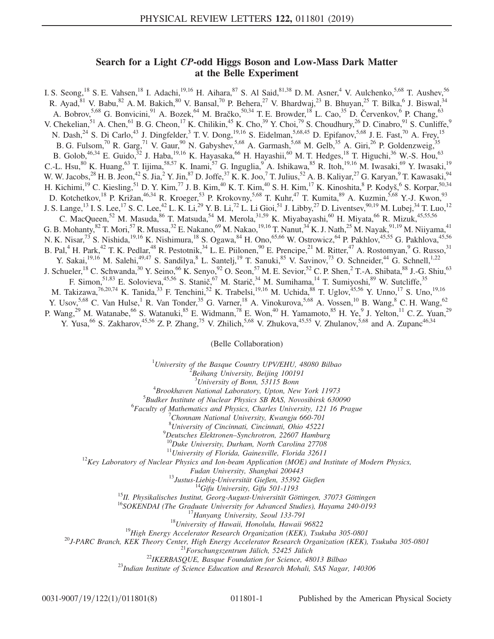## Search for a Light CP-odd Higgs Boson and Low-Mass Dark Matter at the Belle Experiment

I. S. Seong,<sup>18</sup> S. E. Vahsen,<sup>18</sup> I. Adachi,<sup>19,16</sup> H. Aihara,<sup>87</sup> S. Al Said,<sup>81,38</sup> D. M. Asner,<sup>4</sup> V. Aulchenko,<sup>5,68</sup> T. Aushev,<sup>56</sup> R. Ayad,  $81$  V. Babu,  $82$  A. M. Bakich,  $80$  V. Bansal,  $70$  P. Behera,  $27$  V. Bhardwaj,  $23$  B. Bhuyan,  $25$  T. Bilka,  $6$  J. Biswal,  $34$ A. Bobrov,<sup>5,68</sup> G. Bonvicini,<sup>91</sup> A. Bozek,<sup>64</sup> M. Bračko,<sup>50,34</sup> T. E. Browder,<sup>18</sup> L. Cao,<sup>35</sup> D. Červenkov,<sup>6</sup> P. Chang,<sup>63</sup> V. Chekelian,<sup>51</sup> A. Chen,<sup>61</sup> B. G. Cheon,<sup>17</sup> K. Chilikin,<sup>45</sup> K. Cho,<sup>39</sup> Y. Choi,<sup>79</sup> S. Choudhury,<sup>26</sup> D. Cinabro,<sup>91</sup> S. Cunliffe,<sup>9</sup> N. Dash,  $^{24}$  S. Di Carlo,  $^{43}$  J. Dingfelder,  $^{3}$  T. V. Dong,  $^{19,16}$  S. Eidelman,  $^{5,68,45}$  D. Epifanov,  $^{5,68}$  J. E. Fast,  $^{70}$  A. Frey,  $^{15}$ B. G. Fulsom,<sup>70</sup> R. Garg,<sup>71</sup> V. Gaur,<sup>90</sup> N. Gabyshev,<sup>5,68</sup> A. Garmash,<sup>5,68</sup> M. Gelb,<sup>35</sup> A. Giri,<sup>26</sup> P. Goldenzweig,<sup>35</sup> B. Golob,  $46,34$  E. Guido,  $32$  J. Haba,  $19,16$  K. Hayasaka,  $66$  H. Hayashii,  $60$  M. T. Hedges,  $18$  T. Higuchi,  $36$  W.-S. Hou,  $63$ C.-L. Hsu, $^{80}$  K. Huang, $^{63}$  T. Iijima, $^{58,57}$  K. Inami, $^{57}$  G. Inguglia, $^{9}$  A. Ishikawa, $^{85}$  R. Itoh, $^{19,16}$  M. Iwasaki, $^{69}$  Y. Iwasaki, $^{19}$ W. W. Jacobs,  $^{28}$  H. B. Jeon,  $^{42}$  S. Jia,  $^{2}$  Y. Jin,  $^{87}$  D. Joffe,  $^{37}$  K. K. Joo,  $^{7}$  T. Julius,  $^{52}$  A. B. Kaliyar,  $^{27}$  G. Karyan,  $^{9}$  T. Kawasaki,  $^{94}$ H. Kichimi,<sup>19</sup> C. Kiesling,<sup>51</sup> D. Y. Kim,<sup>77</sup> J. B. Kim,<sup>40</sup> K. T. Kim,<sup>40</sup> S. H. Kim,<sup>17</sup> K. Kinoshita,<sup>8</sup> P. Kodyš,<sup>6</sup> S. Korpar,<sup>50,34</sup> D. Kotchetkov,<sup>18</sup> P. Križan,<sup>46,34</sup> R. Kroeger,<sup>53</sup> P. Krokovny,<sup>5,68</sup> T. Kuhr,<sup>47</sup> T. Kumita,<sup>89</sup> A. Kuzmin,<sup>5,68</sup> Y.-J. Kwon,<sup>93</sup> J. S. Lange,  $^{13}$  I. S. Lee,  $^{17}$  S. C. Lee,  $^{42}$  L. K. Li,  $^{29}$  Y. B. Li,  $^{72}$  L. Li Gioi,  $^{51}$  J. Libby,  $^{27}$  D. Liventsev,  $^{90,19}$  M. Lubej,  $^{34}$  T. Luo,  $^{12}$ C. MacQueen,  $52$  M. Masuda,  $86$  T. Matsuda,  $54$  M. Merola,  $31,59$  K. Miyabayashi,  $60$  H. Miyata,  $66$  R. Mizuk,  $45,55,56$ G. B. Mohanty,  $82$  T. Mori,  $57$  R. Mussa,  $32$  E. Nakano,  $69$  M. Nakao,  $19,16$  T. Nanut,  $34$  K. J. Nath,  $25$  M. Nayak,  $91,19$  M. Niiyama,  $41$ N. K. Nisar,<sup>73</sup> S. Nishida,<sup>19,16</sup> K. Nishimura,<sup>18</sup> S. Ogawa,<sup>84</sup> H. Ono,<sup>65,66</sup> W. Ostrowicz,<sup>64</sup> P. Pakhlov,<sup>45,55</sup> G. Pakhlova,<sup>45,56</sup> B. Pal,  $4$  H. Park,  $42$  T. K. Pedlar,  $48$  R. Pestotnik,  $34$  L. E. Piilonen,  $90$  E. Prencipe,  $21$  M. Ritter,  $47$  A. Rostomyan,  $9$  G. Russo,  $31$ Y. Sakai,<sup>19,16</sup> M. Salehi,<sup>49,47</sup> S. Sandilya, <sup>8</sup> L. Santelj,<sup>19</sup> T. Sanuki, <sup>85</sup> V. Savinov,<sup>73</sup> O. Schneider,<sup>44</sup> G. Schnell,<sup>1,22</sup> J. Schueler,<sup>18</sup> C. Schwanda,<sup>30</sup> Y. Seino,<sup>66</sup> K. Senyo,<sup>92</sup> O. Seon,<sup>57</sup> M. E. Sevior,<sup>52</sup> C. P. Shen,<sup>2</sup> T.-A. Shibata,<sup>88</sup> J.-G. Shiu,<sup>63</sup> F. Simon, <sup>51,83</sup> E. Solovieva, <sup>45,56</sup> S. Stanič, <sup>67</sup> M. Starič, <sup>34</sup> M. Sumihama, <sup>14</sup> T. Sumiyoshi, <sup>89</sup> W. Sutcliffe, <sup>35</sup> M. Takizawa,<sup>76,20,74</sup> K. Tanida,<sup>33</sup> F. Tenchini,<sup>52</sup> K. Trabelsi,<sup>19,16</sup> M. Uchida,<sup>88</sup> T. Uglov,<sup>45,56</sup> Y. Unno,<sup>17</sup> S. Uno,<sup>19,16</sup> Y. Usov,<sup>5,68</sup> C. Van Hulse,<sup>1</sup> R. Van Tonder,<sup>35</sup> G. Varner,<sup>18</sup> A. Vinokurova,<sup>5,68</sup> A. Vossen,<sup>10</sup> B. Wang,<sup>8</sup> C. H. Wang,<sup>62</sup> P. Wang,<sup>29</sup> M. Watanabe,<sup>66</sup> S. Watanuki,<sup>85</sup> E. Widmann,<sup>78</sup> E. Won,<sup>40</sup> H. Yamamoto,<sup>85</sup> H. Ye,<sup>9</sup> J. Yelton,<sup>11</sup> C. Z. Yuan,<sup>29</sup> Y. Yusa,<sup>66</sup> S. Zakharov,<sup>45,56</sup> Z. P. Zhang,<sup>75</sup> V. Zhilich,<sup>5,68</sup> V. Zhukova,<sup>45,55</sup> V. Zhulanov,<sup>5,68</sup> and A. Zupanc<sup>46,34</sup>

(Belle Collaboration)

<sup>1</sup>University of the Basque Country UPV/EHU, 48080 Bilbao  $\frac{2 \text{ B} \text{g}}{2 \text{ B} \text{g}}$  Library University, Bailing 100101

 $B$ eihang University, Beijing 100191

<sup>3</sup>University of Bonn, 53115 Bonn<br><sup>4</sup>Prockhaven Mational Laboratory Unton No.

 ${}^{4}$ Brookhaven National Laboratory, Upton, New York 11973

 $5$ Budker Institute of Nuclear Physics SB RAS, Novosibirsk 630090

 ${}^{6}$ Faculty of Mathematics and Physics, Charles University, 121 16 Prague

 $^{7}$ Chonnam National University, Kwangju 660-701

<sup>8</sup> University of Cincinnati, Cincinnati, Ohio 45221

 $\sigma^{9}$ Deutsches Elektronen–Synchrotron, 22607 Hamburg<br><sup>10</sup>Duke University, Durham, North Carolina 27708<br><sup>11</sup>University of Florida, Gainesville, Florida 32611

 $12$ Key Laboratory of Nuclear Physics and Ion-beam Application (MOE) and Institute of Modern Physics,

Fudan University, Shanghai 200443<br>
<sup>13</sup>Justus-Liebig-Universität Gießen, 35392 Gießen<br>
<sup>14</sup>Gifu University, Gifu 501-1193<br>
<sup>16</sup>SOKENDAI (The Graduate University for Advanced Studies), Hayama 240-0193<br>
<sup>16</sup>SOKENDAI (The Gra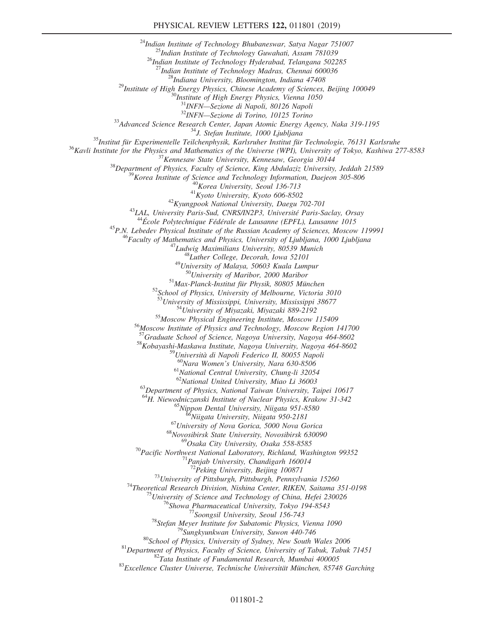<sup>24</sup>Indian Institute of Technology Bhubaneswar, Satya Nagar 751007<br><sup>25</sup>Indian Institute of Technology Guwahati, Assam 781039<br><sup>26</sup>Indian Institute of Technology Hyderabad, Telangana 502285<br><sup>27</sup>Indian Institute of Technolog <sup>28</sup>Indiana University, Bloomington, Indiana 47408<br><sup>29</sup>Institute of High Energy Physics, Chinese Academy of Sciences, Beijing 100049<br><sup>30</sup>Institute of High Energy Physics, Vienna 1050<br><sup>31</sup>INFN—Sezione di Napoli, 80126 Napo  $\begin{tabular}{c} \multicolumn{4}{c}{ \multicolumn{2}{c}{ \multicolumn{2}{c}{ \multicolumn{2}{c}{ \multicolumn{2}{c}{ \multicolumn{2}{c}{ \multicolumn{2}{c}{ \multicolumn{2}{c}{ \multicolumn{2}{c}{ \multicolumn{2}{c}{ \multicolumn{2}{c}{ \multicolumn{2}{c}{ \multicolumn{2}{c}{ \multicolumn{2}{c}{ \multicolumn{2}{c}{ \multicolumn{2}{c}{ \multicolumn{2}{c}{ \multicolumn{2}{c}{ \multicolumn{2}{c}{ \multicolumn{2}{c}{ \multicolumn{2}{c}{ \multicolumn{2}{c}{ \multicolumn{2}{c}{ \multicolumn{$ <sup>52</sup>School of Physics, University of Melbourne, Victoria 3010<br><sup>53</sup>University of Mississippi, University, Mississippi 38677<br><sup>54</sup>University of Miyazaki, Miyazaki 889-2192<br><sup>56</sup>Moscow Physical Engineering Institute, Moscow 11 <sup>58</sup>Kobayashi-Maskawa Institute, Nagoya University, Nagoya 464-8602<br><sup>59</sup>Università di Napoli Federico II, 80055 Napoli  $^{60}$ Nara Women's University, Nara 630-8506<br> $^{61}$ National Central University, Chung-li 32054<br> $^{62}$ National United University, Miao Li 36003  $^{63}$ Department of Physics, National Taiwan University, Taipei 10617 <sup>64</sup>H. Niewodniczanski Institute of Nuclear Physics, Krakow 31-342<br><sup>65</sup>Nippon Dental University, Niigata 951-8580<br><sup>66</sup>Niigata University, Niigata 950-2181<br><sup>67</sup>University of Nova Gorica, 5000 Nova Gorica<br><sup>68</sup>Novosibirsk St <sup>70</sup>Pacific Northwest National Laboratory, Richland, Washington 99352<sup>71</sup>Panjab University, Chandigarh 160014<br><sup>72</sup>Peking University, Beijing 100871 <sup>72</sup>Peking University, Beijing 100871<br><sup>73</sup>University of Pittsburgh, Pittsburgh, Pennsylvania 15260<br><sup>74</sup>Theoretical Research Division, Nishina Center, RIKEN, Saitama 351-0198<br><sup>75</sup>University of Science and Technology of Chi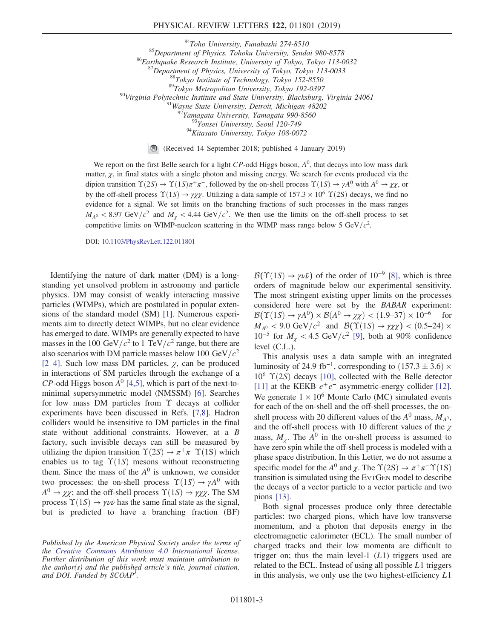$\begin{tabular}{c} & \begin{array}{c} \text{$^{84}$Toho University, Funabashi 274-8510} \\ \text{$^{85}$Department of Physics, Tohoku University, Sendai 980-8578 \\ \text{$^{86}$Earthquake Research Institute, University of Tokyo, Tokyo 113-0032 \\ \text{$^{87}$Department of Physics, University of Tokyo, Tokyo 113-0033 \\ \text{$^{88}$Tokyo Institute of Technology, Tokyo 152-8550 \\ \text{$^{89}$Tokyo Metropolitan University, Tokyo 192-0397 \\ \text{$^{90}$Virginia Polytechnic Institute and State University, Blacksburg, Virginia 24061 \\ \text{$^{91}$Wayne State University, Detroit, Michigan 48202 \\$ 

(Received 14 September 2018; published 4 January 2019)

We report on the first Belle search for a light  $CP$ -odd Higgs boson,  $A^0$ , that decays into low mass dark matter,  $\gamma$ , in final states with a single photon and missing energy. We search for events produced via the dipion transition  $\Upsilon(2S) \to \Upsilon(1S)\pi^+\pi^-$ , followed by the on-shell process  $\Upsilon(1S) \to \gamma A^0$  with  $A^0 \to \chi\chi$ , or by the off-shell process  $\Upsilon(1S) \rightarrow \gamma \chi \chi$ . Utilizing a data sample of 157.3 × 10<sup>6</sup>  $\Upsilon(2S)$  decays, we find no evidence for a signal. We set limits on the branching fractions of such processes in the mass ranges  $M_{A^0}$  < 8.97 GeV/c<sup>2</sup> and  $M_{\gamma}$  < 4.44 GeV/c<sup>2</sup>. We then use the limits on the off-shell process to set competitive limits on WIMP-nucleon scattering in the WIMP mass range below 5 GeV/ $c^2$ .

DOI: [10.1103/PhysRevLett.122.011801](https://doi.org/10.1103/PhysRevLett.122.011801)

Identifying the nature of dark matter (DM) is a longstanding yet unsolved problem in astronomy and particle physics. DM may consist of weakly interacting massive particles (WIMPs), which are postulated in popular extensions of the standard model (SM) [\[1\].](#page-6-0) Numerous experiments aim to directly detect WIMPs, but no clear evidence has emerged to date. WIMPs are generally expected to have masses in the 100 GeV/ $c^2$  to 1 TeV/ $c^2$  range, but there are also scenarios with DM particle masses below 100 GeV/ $c^2$ [\[2](#page-6-1)–4]. Such low mass DM particles,  $\chi$ , can be produced in interactions of SM particles through the exchange of a  $CP$ -odd Higgs boson  $A^0$  [\[4,5\]](#page-6-2), which is part of the next-tominimal supersymmetric model (NMSSM) [\[6\]](#page-6-3). Searches for low mass DM particles from Υ decays at collider experiments have been discussed in Refs. [\[7,8\].](#page-6-4) Hadron colliders would be insensitive to DM particles in the final state without additional constraints. However, at a B factory, such invisible decays can still be measured by utilizing the dipion transition  $\Upsilon(2S) \rightarrow \pi^+\pi^-\Upsilon(1S)$  which enables us to tag  $\Upsilon(1S)$  mesons without reconstructing them. Since the mass of the  $A^0$  is unknown, we consider two processes: the on-shell process  $\Upsilon(1S) \rightarrow \gamma A^0$  with  $A^0 \rightarrow \chi \chi$ ; and the off-shell process  $\Upsilon(1S) \rightarrow \gamma \chi \chi$ . The SM process  $\Upsilon(1S) \rightarrow \gamma \nu \bar{\nu}$  has the same final state as the signal, but is predicted to have a branching fraction (BF)  $\mathcal{B}(\Upsilon(1S) \to \gamma \nu \bar{\nu})$  of the order of 10<sup>-9</sup> [\[8\]](#page-6-5), which is three orders of magnitude below our experimental sensitivity. The most stringent existing upper limits on the processes considered here were set by the BABAR experiment:  $\mathcal{B}(\Upsilon(1S) \to \gamma A^0) \times \mathcal{B}(A^0 \to \chi \chi) < (1.9-37) \times 10^{-6}$  for  $M_{A^0}$  < 9.0 GeV/ $c^2$  and  $\mathcal{B}(\Upsilon(1S) \to \gamma \chi \chi)$  < (0.5–24) ×  $10^{-5}$  for  $M_{\chi} < 4.5 \text{ GeV}/c^2$  [\[9\],](#page-6-6) both at 90% confidence level (C.L.).

This analysis uses a data sample with an integrated luminosity of 24.9 fb<sup>-1</sup>, corresponding to  $(157.3 \pm 3.6) \times$  $10^6$   $\Upsilon(2S)$  decays [\[10\]](#page-6-7), collected with the Belle detector [\[11\]](#page-6-8) at the KEKB  $e^+e^-$  asymmetric-energy collider [\[12\]](#page-6-9). We generate  $1 \times 10^6$  Monte Carlo (MC) simulated events for each of the on-shell and the off-shell processes, the onshell process with 20 different values of the  $A^0$  mass,  $M_{A^0}$ , and the off-shell process with 10 different values of the  $\chi$ mass,  $M_{\gamma}$ . The  $A^{0}$  in the on-shell process is assumed to have zero spin while the off-shell process is modeled with a phase space distribution. In this Letter, we do not assume a specific model for the  $A^0$  and  $\gamma$ . The  $\Upsilon(2S) \rightarrow \pi^+\pi^-\Upsilon(1S)$ transition is simulated using the EVTGEN model to describe the decays of a vector particle to a vector particle and two pions [\[13\].](#page-6-10)

Both signal processes produce only three detectable particles: two charged pions, which have low transverse momentum, and a photon that deposits energy in the electromagnetic calorimeter (ECL). The small number of charged tracks and their low momenta are difficult to trigger on; thus the main level-1  $(L1)$  triggers used are related to the ECL. Instead of using all possible  $L1$  triggers in this analysis, we only use the two highest-efficiency  $L1$ 

Published by the American Physical Society under the terms of the [Creative Commons Attribution 4.0 International](https://creativecommons.org/licenses/by/4.0/) license. Further distribution of this work must maintain attribution to the author(s) and the published article's title, journal citation, and DOI. Funded by SCOAP<sup>3</sup>.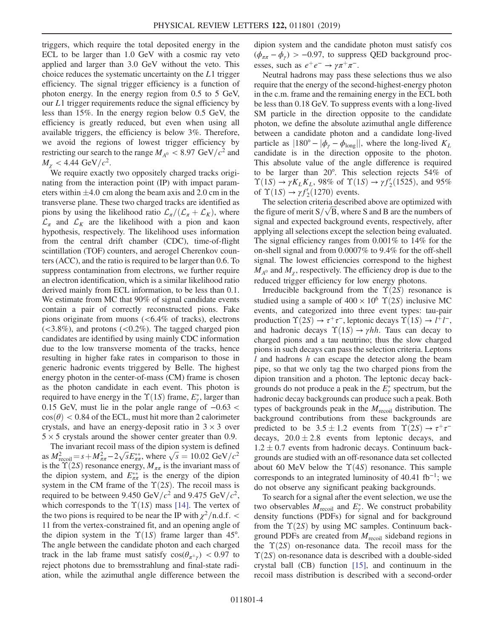triggers, which require the total deposited energy in the ECL to be larger than 1.0 GeV with a cosmic ray veto applied and larger than 3.0 GeV without the veto. This choice reduces the systematic uncertainty on the L1 trigger efficiency. The signal trigger efficiency is a function of photon energy. In the energy region from 0.5 to 5 GeV, our L1 trigger requirements reduce the signal efficiency by less than 15%. In the energy region below 0.5 GeV, the efficiency is greatly reduced, but even when using all available triggers, the efficiency is below 3%. Therefore, we avoid the regions of lowest trigger efficiency by restricting our search to the range  $M_{A^0}$  < 8.97 GeV/ $c^2$  and  $M_{\gamma}$  < 4.44 GeV/ $c^2$ .

We require exactly two oppositely charged tracks originating from the interaction point (IP) with impact parameters within  $\pm 4.0$  cm along the beam axis and 2.0 cm in the transverse plane. These two charged tracks are identified as pions by using the likelihood ratio  $\mathcal{L}_{\pi}/(\mathcal{L}_{\pi}+\mathcal{L}_{K})$ , where  $\mathcal{L}_{\pi}$  and  $\mathcal{L}_{K}$  are the likelihood with a pion and kaon hypothesis, respectively. The likelihood uses information from the central drift chamber (CDC), time-of-flight scintillation (TOF) counters, and aerogel Cherenkov counters (ACC), and the ratio is required to be larger than 0.6. To suppress contamination from electrons, we further require an electron identification, which is a similar likelihood ratio derived mainly from ECL information, to be less than 0.1. We estimate from MC that 90% of signal candidate events contain a pair of correctly reconstructed pions. Fake pions originate from muons (<6.4% of tracks), electrons  $(<3.8\%)$ , and protons  $(<0.2\%)$ . The tagged charged pion candidates are identified by using mainly CDC information due to the low transverse momenta of the tracks, hence resulting in higher fake rates in comparison to those in generic hadronic events triggered by Belle. The highest energy photon in the center-of-mass (CM) frame is chosen as the photon candidate in each event. This photon is required to have energy in the  $\Upsilon(1S)$  frame,  $E^*_{\gamma}$ , larger than 0.15 GeV, must lie in the polar angle range of −0.63 <  $\cos(\theta) < 0.84$  of the ECL, must hit more than 2 calorimeter crystals, and have an energy-deposit ratio in  $3 \times 3$  over  $5 \times 5$  crystals around the shower center greater than 0.9.

The invariant recoil mass of the dipion system is defined as  $M_{\text{recoil}}^2 = s + M_{\pi\pi}^2 - 2\sqrt{s}E_{\pi\pi}^{**}$ , where  $\sqrt{s} = 10.02 \text{ GeV}/c^2$ is the  $\Upsilon(2S)$  resonance energy,  $M_{\pi\pi}$  is the invariant mass of the dipion system, and  $E_{\pi\pi}^{**}$  is the energy of the dipion system in the CM frame of the  $\Upsilon(2S)$ . The recoil mass is required to be between 9.450 GeV/ $c^2$  and 9.475 GeV/ $c^2$ , which corresponds to the  $\Upsilon(1S)$  mass [\[14\].](#page-6-11) The vertex of the two pions is required to be near the IP with  $\chi^2$ /n.d.f. < 11 from the vertex-constrained fit, and an opening angle of the dipion system in the  $\Upsilon(1S)$  frame larger than 45°. The angle between the candidate photon and each charged track in the lab frame must satisfy  $cos(\theta_{\pi^{\pm}\gamma})$  < 0.97 to reject photons due to bremsstrahlung and final-state radiation, while the azimuthal angle difference between the dipion system and the candidate photon must satisfy cos  $(\phi_{\pi\pi} - \phi_{\gamma}) > -0.97$ , to suppress QED background processes, such as  $e^+e^- \rightarrow \gamma \pi^+ \pi^-$ .

Neutral hadrons may pass these selections thus we also require that the energy of the second-highest-energy photon in the c.m. frame and the remaining energy in the ECL both be less than 0.18 GeV. To suppress events with a long-lived SM particle in the direction opposite to the candidate photon, we define the absolute azimuthal angle difference between a candidate photon and a candidate long-lived particle as  $|180^\circ - \phi_y - \phi_{\text{long}}|$ , where the long-lived  $K_L$ candidate is in the direction opposite to the photon. This absolute value of the angle difference is required to be larger than 20°. This selection rejects 54% of  $\Upsilon(1S) \rightarrow \gamma K_L K_L$ , 98% of  $\Upsilon(1S) \rightarrow \gamma f'_2(1525)$ , and 95% of  $\Upsilon(1S) \rightarrow \gamma f_2(1270)$  events.

The selection criteria described above are optimized with the selection efficial described above are optimized with<br>the figure of merit  $S/\sqrt{B}$ , where S and B are the numbers of signal and expected background events, respectively, after applying all selections except the selection being evaluated. The signal efficiency ranges from 0.001% to 14% for the on-shell signal and from 0.0007% to 9.4% for the off-shell signal. The lowest efficiencies correspond to the highest  $M_{A^0}$  and  $M_{\gamma}$ , respectively. The efficiency drop is due to the reduced trigger efficiency for low energy photons.

Irreducible background from the  $\Upsilon(2S)$  resonance is studied using a sample of  $400 \times 10^6$   $\Upsilon(2S)$  inclusive MC events, and categorized into three event types: tau-pair production  $\Upsilon(2S) \to \tau^+\tau^-$ , leptonic decays  $\Upsilon(1S) \to l^+l^-$ , and hadronic decays  $\Upsilon(1S) \rightarrow \gamma hh$ . Taus can decay to charged pions and a tau neutrino; thus the slow charged pions in such decays can pass the selection criteria. Leptons  $l$  and hadrons  $h$  can escape the detector along the beam pipe, so that we only tag the two charged pions from the dipion transition and a photon. The leptonic decay backgrounds do not produce a peak in the  $\overline{E}_\gamma^*$  spectrum, but the hadronic decay backgrounds can produce such a peak. Both types of backgrounds peak in the  $M_{\text{recoil}}$  distribution. The background contributions from these backgrounds are predicted to be  $3.5 \pm 1.2$  events from  $\Upsilon(2S) \rightarrow \tau^+\tau^$ decays,  $20.0 \pm 2.8$  events from leptonic decays, and  $1.2 \pm 0.7$  events from hadronic decays. Continuum backgrounds are studied with an off-resonance data set collected about 60 MeV below the  $\Upsilon(4S)$  resonance. This sample corresponds to an integrated luminosity of 40.41 fb<sup>-1</sup>; we do not observe any significant peaking backgrounds.

To search for a signal after the event selection, we use the two observables  $\widetilde{M}_{\text{recoil}}$  and  $E^*_{\gamma}$ . We construct probability density functions (PDFs) for signal and for background from the  $\Upsilon(2S)$  by using MC samples. Continuum background PDFs are created from  $M_{\text{recoil}}$  sideband regions in the  $\Upsilon(2S)$  on-resonance data. The recoil mass for the  $\Upsilon(2S)$  on-resonance data is described with a double-sided crystal ball (CB) function [\[15\],](#page-6-12) and continuum in the recoil mass distribution is described with a second-order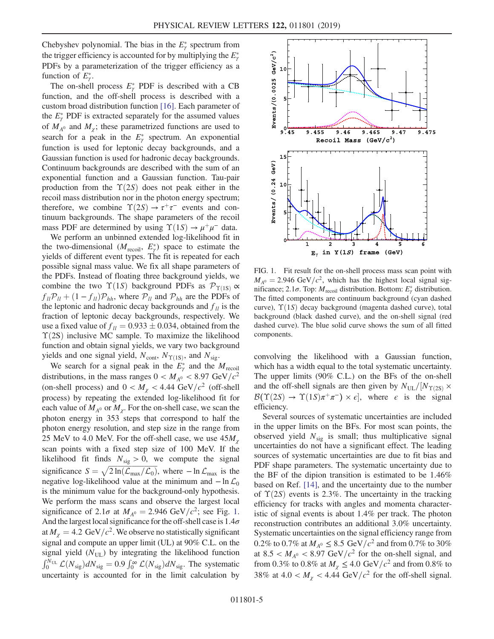Chebyshev polynomial. The bias in the  $E^*_{\gamma}$  spectrum from the trigger efficiency is accounted for by multiplying the  $E^*$ PDFs by a parameterization of the trigger efficiency as a function of  $E^*_{\gamma}$ .

The on-shell process  $E^*_{\gamma}$  PDF is described with a CB function, and the off-shell process is described with a custom broad distribution function [\[16\].](#page-6-13) Each parameter of the  $E^*_{\gamma}$  PDF is extracted separately for the assumed values of  $M_{A^0}$  and  $M_{\chi}$ ; these parametrized functions are used to search for a peak in the  $E^*_{\gamma}$  spectrum. An exponential function is used for leptonic decay backgrounds, and a Gaussian function is used for hadronic decay backgrounds. Continuum backgrounds are described with the sum of an exponential function and a Gaussian function. Tau-pair production from the  $\Upsilon(2S)$  does not peak either in the recoil mass distribution nor in the photon energy spectrum; therefore, we combine  $\Upsilon(2S) \rightarrow \tau^+\tau^-$  events and continuum backgrounds. The shape parameters of the recoil mass PDF are determined by using  $\Upsilon(1S) \rightarrow \mu^+ \mu^-$  data.

We perform an unbinned extended log-likelihood fit in the two-dimensional  $(M_{\text{recoil}}, E^*_{\gamma})$  space to estimate the yields of different event types. The fit is repeated for each possible signal mass value. We fix all shape parameters of the PDFs. Instead of floating three background yields, we combine the two  $\Upsilon(1S)$  background PDFs as  $\mathcal{P}_{\Upsilon(1S)} \propto$  $f_{ll}P_{ll} + (1 - f_{ll})P_{hh}$ , where  $P_{ll}$  and  $P_{hh}$  are the PDFs of the leptonic and hadronic decay backgrounds and  $f_{ll}$  is the fraction of leptonic decay backgrounds, respectively. We use a fixed value of  $f_{ll} = 0.933 \pm 0.034$ , obtained from the  $\Upsilon(2S)$  inclusive MC sample. To maximize the likelihood function and obtain signal yields, we vary two background yields and one signal yield,  $N_{\text{cont}}$ ,  $N_{\Upsilon(1S)}$ , and  $N_{\text{sig}}$ .

We search for a signal peak in the  $E^*$  and the  $M_{\text{recoil}}$ distributions, in the mass ranges  $0 < M_{A^0} < 8.97 \text{ GeV}/c^2$ (on-shell process) and  $0 < M_{\chi} < 4.44 \text{ GeV}/c^2$  (off-shell process) by repeating the extended log-likelihood fit for each value of  $M_{A^0}$  or  $M_{\chi}$ . For the on-shell case, we scan the photon energy in 353 steps that correspond to half the photon energy resolution, and step size in the range from 25 MeV to 4.0 MeV. For the off-shell case, we use  $45M_{\nu}$ scan points with a fixed step size of 100 MeV. If the likelihood fit finds  $N_{sig} > 0$ , we compute the signal significance  $S = \sqrt{2 \ln(\mathcal{L}_{\text{max}}/\mathcal{L}_0)}$ , where  $-\ln \mathcal{L}_{\text{max}}$  is the negative log-likelihood value at the minimum and  $-\ln\mathcal{L}_0$ is the minimum value for the background-only hypothesis. We perform the mass scans and observe the largest local significance of 2.[1](#page-4-0) $\sigma$  at  $M_{A^0} = 2.946 \text{ GeV}/c^2$ ; see Fig. 1. And the largest local significance for the off-shell case is  $1.4\sigma$ at  $M_{\gamma} = 4.2 \text{ GeV}/c^2$ . We observe no statistically significant signal and compute an upper limit (UL) at 90% C.L. on the signal yield  $(N<sub>UL</sub>)$  by integrating the likelihood function  $\int_0^{\overline{N}_{\text{UL}}} \mathcal{L}(N_{\text{sig}}) dN_{\text{sig}} = 0.9 \int_0^{\infty} \mathcal{L}(N_{\text{sig}}) dN_{\text{sig}}$ . The systematic uncertainty is accounted for in the limit calculation by

<span id="page-4-0"></span>

FIG. 1. Fit result for the on-shell process mass scan point with  $M_{A^0} = 2.946 \text{ GeV}/c^2$ , which has the highest local signal significance; 2.1 $\sigma$ . Top:  $M_{\text{recoil}}$  distribution. Bottom:  $E^*_{\gamma}$  distribution. The fitted components are continuum background (cyan dashed curve),  $\Upsilon(1S)$  decay background (magenta dashed curve), total background (black dashed curve), and the on-shell signal (red dashed curve). The blue solid curve shows the sum of all fitted components.

convolving the likelihood with a Gaussian function, which has a width equal to the total systematic uncertainty. The upper limits (90% C.L.) on the BFs of the on-shell and the off-shell signals are then given by  $N_{\text{UL}}/[N_{\Upsilon(2S)} \times$  $\mathcal{B}(\Upsilon(2S) \to \Upsilon(1S)\pi^+\pi^-) \times \epsilon$ , where  $\epsilon$  is the signal efficiency.

Several sources of systematic uncertainties are included in the upper limits on the BFs. For most scan points, the observed yield  $N_{sig}$  is small; thus multiplicative signal uncertainties do not have a significant effect. The leading sources of systematic uncertainties are due to fit bias and PDF shape parameters. The systematic uncertainty due to the BF of the dipion transition is estimated to be 1.46% based on Ref. [\[14\]](#page-6-11), and the uncertainty due to the number of  $\Upsilon(2S)$  events is 2.3%. The uncertainty in the tracking efficiency for tracks with angles and momenta characteristic of signal events is about 1.4% per track. The photon reconstruction contributes an additional 3.0% uncertainty. Systematic uncertainties on the signal efficiency range from 0.2% to 0.7% at  $M_{A^0} \leq 8.5 \text{ GeV}/c^2$  and from 0.7% to 30% at  $8.5 < M_{A^0} < 8.97$  GeV/ $c^2$  for the on-shell signal, and from 0.3% to 0.8% at  $M_{\chi} \leq 4.0 \text{ GeV}/c^2$  and from 0.8% to 38% at  $4.0 < M_{\gamma} < 4.44$  GeV/ $c^2$  for the off-shell signal.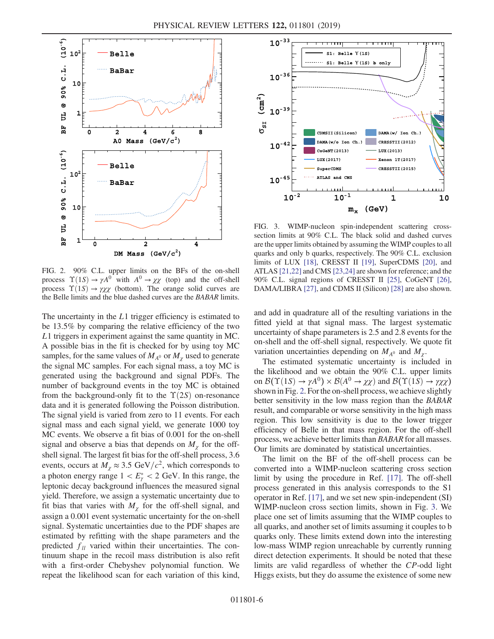<span id="page-5-0"></span>

FIG. 2. 90% C.L. upper limits on the BFs of the on-shell process  $\Upsilon(1S) \rightarrow \gamma A^0$  with  $A^0 \rightarrow \chi \chi$  (top) and the off-shell process  $\Upsilon(1S) \rightarrow \gamma \chi \chi$  (bottom). The orange solid curves are the Belle limits and the blue dashed curves are the BABAR limits.

The uncertainty in the L1 trigger efficiency is estimated to be 13.5% by comparing the relative efficiency of the two L1 triggers in experiment against the same quantity in MC. A possible bias in the fit is checked for by using toy MC samples, for the same values of  $M_{A^0}$  or  $M_{\gamma}$  used to generate the signal MC samples. For each signal mass, a toy MC is generated using the background and signal PDFs. The number of background events in the toy MC is obtained from the background-only fit to the  $\Upsilon(2S)$  on-resonance data and it is generated following the Poisson distribution. The signal yield is varied from zero to 11 events. For each signal mass and each signal yield, we generate 1000 toy MC events. We observe a fit bias of 0.001 for the on-shell signal and observe a bias that depends on  $M_{\gamma}$  for the offshell signal. The largest fit bias for the off-shell process, 3.6 events, occurs at  $M_{\chi} \approx 3.5 \text{ GeV}/c^2$ , which corresponds to a photon energy range  $1 < E^*_{\gamma} < 2$  GeV. In this range, the leptonic decay background influences the measured signal yield. Therefore, we assign a systematic uncertainty due to fit bias that varies with  $M_{\chi}$  for the off-shell signal, and assign a 0.001 event systematic uncertainty for the on-shell signal. Systematic uncertainties due to the PDF shapes are estimated by refitting with the shape parameters and the predicted  $f_{ll}$  varied within their uncertainties. The continuum shape in the recoil mass distribution is also refit with a first-order Chebyshev polynomial function. We repeat the likelihood scan for each variation of this kind,

<span id="page-5-1"></span>

FIG. 3. WIMP-nucleon spin-independent scattering crosssection limits at 90% C.L. The black solid and dashed curves are the upper limits obtained by assuming the WIMP couples to all quarks and only b quarks, respectively. The 90% C.L. exclusion limits of LUX [\[18\]](#page-6-15), CRESST II [\[19\]](#page-6-16), SuperCDMS [\[20\],](#page-6-17) and ATLAS [\[21,22\]](#page-6-18) and CMS [\[23,24\]](#page-6-19) are shown for reference; and the 90% C.L. signal regions of CRESST II [\[25\],](#page-7-0) CoGeNT [\[26\],](#page-7-1) DAMA/LIBRA [\[27\]](#page-7-2), and CDMS II (Silicon) [\[28\]](#page-7-3) are also shown.

and add in quadrature all of the resulting variations in the fitted yield at that signal mass. The largest systematic uncertainty of shape parameters is 2.5 and 2.8 events for the on-shell and the off-shell signal, respectively. We quote fit variation uncertainties depending on  $M_{A^0}$  and  $M_{\gamma}$ .

The estimated systematic uncertainty is included in the likelihood and we obtain the 90% C.L. upper limits on  $\mathcal{B}(\Upsilon(1S) \to \gamma A^0) \times \mathcal{B}(A^0 \to \chi \chi)$  and  $\mathcal{B}(\Upsilon(1S) \to \gamma \chi \chi)$ shown in Fig. [2.](#page-5-0) For the on-shell process, we achieve slightly better sensitivity in the low mass region than the BABAR result, and comparable or worse sensitivity in the high mass region. This low sensitivity is due to the lower trigger efficiency of Belle in that mass region. For the off-shell process, we achieve better limits than BABAR for all masses. Our limits are dominated by statistical uncertainties.

The limit on the BF of the off-shell process can be converted into a WIMP-nucleon scattering cross section limit by using the procedure in Ref. [\[17\]](#page-6-14). The off-shell process generated in this analysis corresponds to the S1 operator in Ref. [\[17\],](#page-6-14) and we set new spin-independent (SI) WIMP-nucleon cross section limits, shown in Fig. [3.](#page-5-1) We place one set of limits assuming that the WIMP couples to all quarks, and another set of limits assuming it couples to b quarks only. These limits extend down into the interesting low-mass WIMP region unreachable by currently running direct detection experiments. It should be noted that these limits are valid regardless of whether the CP-odd light Higgs exists, but they do assume the existence of some new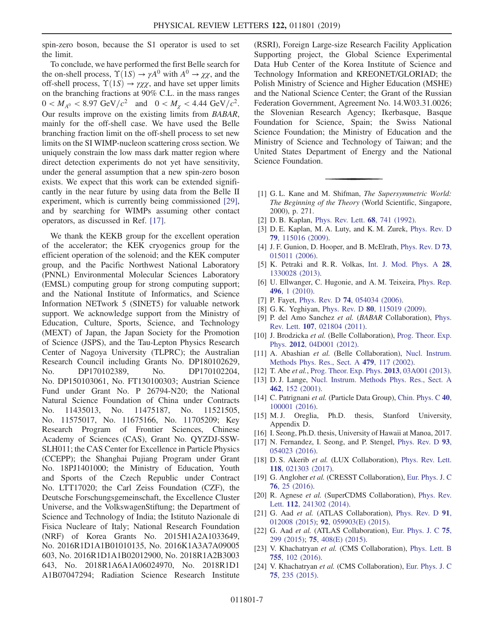spin-zero boson, because the S1 operator is used to set the limit.

To conclude, we have performed the first Belle search for the on-shell process,  $\Upsilon(1S) \rightarrow \gamma A^0$  with  $A^0 \rightarrow \chi \chi$ , and the off-shell process,  $\Upsilon(1S) \rightarrow \gamma \chi \chi$ , and have set upper limits on the branching fractions at 90% C.L. in the mass ranges  $0 < M_{A^0} < 8.97 \text{ GeV}/c^2$  and  $0 < M_{\chi} < 4.44 \text{ GeV}/c^2$ . Our results improve on the existing limits from BABAR, mainly for the off-shell case. We have used the Belle branching fraction limit on the off-shell process to set new limits on the SI WIMP-nucleon scattering cross section. We uniquely constrain the low mass dark matter region where direct detection experiments do not yet have sensitivity, under the general assumption that a new spin-zero boson exists. We expect that this work can be extended significantly in the near future by using data from the Belle II experiment, which is currently being commissioned [\[29\]](#page-7-4), and by searching for WIMPs assuming other contact operators, as discussed in Ref. [\[17\].](#page-6-14)

We thank the KEKB group for the excellent operation of the accelerator; the KEK cryogenics group for the efficient operation of the solenoid; and the KEK computer group, and the Pacific Northwest National Laboratory (PNNL) Environmental Molecular Sciences Laboratory (EMSL) computing group for strong computing support; and the National Institute of Informatics, and Science Information NETwork 5 (SINET5) for valuable network support. We acknowledge support from the Ministry of Education, Culture, Sports, Science, and Technology (MEXT) of Japan, the Japan Society for the Promotion of Science (JSPS), and the Tau-Lepton Physics Research Center of Nagoya University (TLPRC); the Australian Research Council including Grants No. DP180102629, No. DP170102389, No. DP170102204, No. DP150103061, No. FT130100303; Austrian Science Fund under Grant No. P 26794-N20; the National Natural Science Foundation of China under Contracts No. 11435013, No. 11475187, No. 11521505, No. 11575017, No. 11675166, No. 11705209; Key Research Program of Frontier Sciences, Chinese Academy of Sciences (CAS), Grant No. QYZDJ-SSW-SLH011; the CAS Center for Excellence in Particle Physics (CCEPP); the Shanghai Pujiang Program under Grant No. 18PJ1401000; the Ministry of Education, Youth and Sports of the Czech Republic under Contract No. LTT17020; the Carl Zeiss Foundation (CZF), the Deutsche Forschungsgemeinschaft, the Excellence Cluster Universe, and the VolkswagenStiftung; the Department of Science and Technology of India; the Istituto Nazionale di Fisica Nucleare of Italy; National Research Foundation (NRF) of Korea Grants No. 2015H1A2A1033649, No. 2016R1D1A1B01010135, No. 2016K1A3A7A09005 603, No. 2016R1D1A1B02012900, No. 2018R1A2B3003 643, No. 2018R1A6A1A06024970, No. 2018R1D1 A1B07047294; Radiation Science Research Institute

(RSRI), Foreign Large-size Research Facility Application Supporting project, the Global Science Experimental Data Hub Center of the Korea Institute of Science and Technology Information and KREONET/GLORIAD; the Polish Ministry of Science and Higher Education (MSHE) and the National Science Center; the Grant of the Russian Federation Government, Agreement No. 14.W03.31.0026; the Slovenian Research Agency; Ikerbasque, Basque Foundation for Science, Spain; the Swiss National Science Foundation; the Ministry of Education and the Ministry of Science and Technology of Taiwan; and the United States Department of Energy and the National Science Foundation.

- <span id="page-6-0"></span>[1] G. L. Kane and M. Shifman, *The Supersymmetric World:* The Beginning of the Theory (World Scientific, Singapore, 2000), p. 271.
- <span id="page-6-1"></span>[2] D. B. Kaplan, [Phys. Rev. Lett.](https://doi.org/10.1103/PhysRevLett.68.741) **68**, 741 (1992).
- [3] D. E. Kaplan, M. A. Luty, and K. M. Zurek, [Phys. Rev. D](https://doi.org/10.1103/PhysRevD.79.115016) 79[, 115016 \(2009\).](https://doi.org/10.1103/PhysRevD.79.115016)
- <span id="page-6-2"></span>[4] J. F. Gunion, D. Hooper, and B. McElrath, [Phys. Rev. D](https://doi.org/10.1103/PhysRevD.73.015011) 73, [015011 \(2006\).](https://doi.org/10.1103/PhysRevD.73.015011)
- [5] K. Petraki and R. R. Volkas, [Int. J. Mod. Phys. A](https://doi.org/10.1142/S0217751X13300287) 28, [1330028 \(2013\).](https://doi.org/10.1142/S0217751X13300287)
- <span id="page-6-3"></span>[6] U. Ellwanger, C. Hugonie, and A. M. Teixeira, [Phys. Rep.](https://doi.org/10.1016/j.physrep.2010.07.001) 496[, 1 \(2010\).](https://doi.org/10.1016/j.physrep.2010.07.001)
- <span id="page-6-5"></span><span id="page-6-4"></span>[7] P. Fayet, Phys. Rev. D **74**[, 054034 \(2006\).](https://doi.org/10.1103/PhysRevD.74.054034)
- <span id="page-6-6"></span>[8] G. K. Yeghiyan, Phys. Rev. D **80**[, 115019 \(2009\).](https://doi.org/10.1103/PhysRevD.80.115019)
- [9] P. del Amo Sanchez et al. (BABAR Collaboration), [Phys.](https://doi.org/10.1103/PhysRevLett.107.021804) Rev. Lett. 107[, 021804 \(2011\).](https://doi.org/10.1103/PhysRevLett.107.021804)
- <span id="page-6-7"></span>[10] J. Brodzicka et al. (Belle Collaboration), [Prog. Theor. Exp.](https://doi.org/10.1093/ptep/pts072) Phys. 2012[, 04D001 \(2012\).](https://doi.org/10.1093/ptep/pts072)
- <span id="page-6-8"></span>[11] A. Abashian et al. (Belle Collaboration), [Nucl. Instrum.](https://doi.org/10.1016/S0168-9002(01)02013-7) [Methods Phys. Res., Sect. A](https://doi.org/10.1016/S0168-9002(01)02013-7) 479, 117 (2002).
- <span id="page-6-10"></span><span id="page-6-9"></span>[12] T. Abe *et al.*, [Prog. Theor. Exp. Phys.](https://doi.org/10.1093/ptep/pts102) **2013**, 03A001 (2013).
- [13] D. J. Lange, [Nucl. Instrum. Methods Phys. Res., Sect. A](https://doi.org/10.1016/S0168-9002(01)00089-4) 462[, 152 \(2001\)](https://doi.org/10.1016/S0168-9002(01)00089-4).
- <span id="page-6-11"></span>[14] C. Patrignani et al. (Particle Data Group), [Chin. Phys. C](https://doi.org/10.1088/1674-1137/40/10/100001) 40, [100001 \(2016\).](https://doi.org/10.1088/1674-1137/40/10/100001)
- <span id="page-6-12"></span>[15] M. J. Oreglia, Ph.D. thesis, Stanford University, Appendix D.
- <span id="page-6-14"></span><span id="page-6-13"></span>[16] I. Seong, Ph.D. thesis, University of Hawaii at Manoa, 2017.
- [17] N. Fernandez, I. Seong, and P. Stengel, [Phys. Rev. D](https://doi.org/10.1103/PhysRevD.93.054023) 93, [054023 \(2016\).](https://doi.org/10.1103/PhysRevD.93.054023)
- <span id="page-6-15"></span>[18] D. S. Akerib et al. (LUX Collaboration), [Phys. Rev. Lett.](https://doi.org/10.1103/PhysRevLett.118.021303) 118[, 021303 \(2017\).](https://doi.org/10.1103/PhysRevLett.118.021303)
- <span id="page-6-16"></span>[19] G. Angloher et al. (CRESST Collaboration), [Eur. Phys. J. C](https://doi.org/10.1140/epjc/s10052-016-3877-3) 76[, 25 \(2016\).](https://doi.org/10.1140/epjc/s10052-016-3877-3)
- <span id="page-6-17"></span>[20] R. Agnese et al. (SuperCDMS Collaboration), [Phys. Rev.](https://doi.org/10.1103/PhysRevLett.112.241302) Lett. 112[, 241302 \(2014\)](https://doi.org/10.1103/PhysRevLett.112.241302).
- <span id="page-6-18"></span>[21] G. Aad et al. (ATLAS Collaboration), [Phys. Rev. D](https://doi.org/10.1103/PhysRevD.91.012008) 91, [012008 \(2015\);](https://doi.org/10.1103/PhysRevD.91.012008) 92[, 059903\(E\) \(2015\).](https://doi.org/10.1103/PhysRevD.92.059903)
- [22] G. Aad et al. (ATLAS Collaboration), [Eur. Phys. J. C](https://doi.org/10.1140/epjc/s10052-015-3517-3) 75, [299 \(2015\)](https://doi.org/10.1140/epjc/s10052-015-3517-3); 75[, 408\(E\) \(2015\)](https://doi.org/10.1140/epjc/s10052-015-3639-7).
- <span id="page-6-19"></span>[23] V. Khachatryan et al. (CMS Collaboration), [Phys. Lett. B](https://doi.org/10.1016/j.physletb.2016.01.057) 755[, 102 \(2016\)](https://doi.org/10.1016/j.physletb.2016.01.057).
- [24] V. Khachatryan et al. (CMS Collaboration), [Eur. Phys. J. C](https://doi.org/10.1140/epjc/s10052-015-3451-4) 75[, 235 \(2015\).](https://doi.org/10.1140/epjc/s10052-015-3451-4)